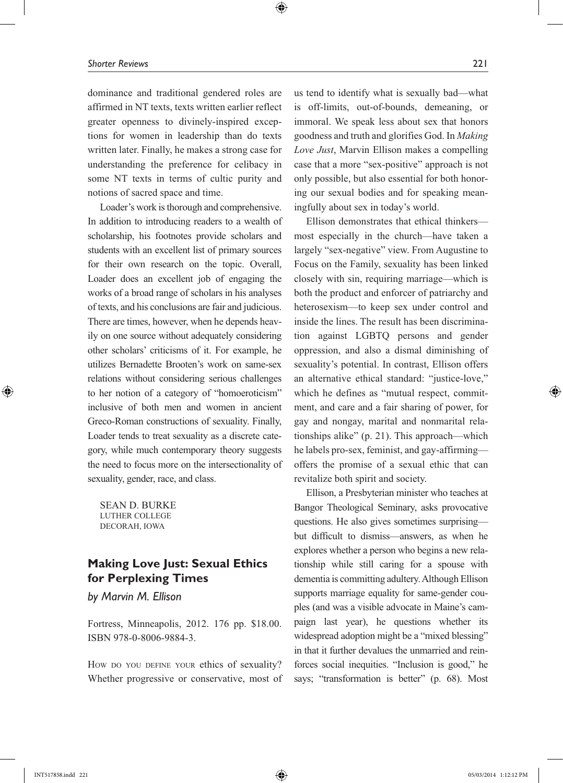dominance and traditional gendered roles are affirmed in NT texts, texts written earlier reflect greater openness to divinely-inspired exceptions for women in leadership than do texts written later. Finally, he makes a strong case for understanding the preference for celibacy in some NT texts in terms of cultic purity and notions of sacred space and time.

 $\bigoplus$ 

Loader's work is thorough and comprehensive. In addition to introducing readers to a wealth of scholarship, his footnotes provide scholars and students with an excellent list of primary sources for their own research on the topic. Overall, Loader does an excellent job of engaging the works of a broad range of scholars in his analyses of texts, and his conclusions are fair and judicious. There are times, however, when he depends heavily on one source without adequately considering other scholars' criticisms of it. For example, he utilizes Bernadette Brooten's work on same-sex relations without considering serious challenges to her notion of a category of "homoeroticism" inclusive of both men and women in ancient Greco-Roman constructions of sexuality. Finally, Loader tends to treat sexuality as a discrete category, while much contemporary theory suggests the need to focus more on the intersectionality of sexuality, gender, race, and class.

Sean D. Burke Luther College Decorah, Iowa

## **Making Love Just: Sexual Ethics for Perplexing Times**

*by Marvin M. Ellison*

Fortress, Minneapolis, 2012. 176 pp. \$18.00. ISBN 978-0-8006-9884-3.

How do you define your ethics of sexuality? Whether progressive or conservative, most of

us tend to identify what is sexually bad—what is off-limits, out-of-bounds, demeaning, or immoral. We speak less about sex that honors goodness and truth and glorifies God. In *Making Love Just*, Marvin Ellison makes a compelling case that a more "sex-positive" approach is not only possible, but also essential for both honoring our sexual bodies and for speaking meaningfully about sex in today's world.

Ellison demonstrates that ethical thinkers most especially in the church—have taken a largely "sex-negative" view. From Augustine to Focus on the Family, sexuality has been linked closely with sin, requiring marriage—which is both the product and enforcer of patriarchy and heterosexism—to keep sex under control and inside the lines. The result has been discrimination against LGBTQ persons and gender oppression, and also a dismal diminishing of sexuality's potential. In contrast, Ellison offers an alternative ethical standard: "justice-love," which he defines as "mutual respect, commitment, and care and a fair sharing of power, for gay and nongay, marital and nonmarital relationships alike" (p. 21). This approach—which he labels pro-sex, feminist, and gay-affirming offers the promise of a sexual ethic that can revitalize both spirit and society.

Ellison, a Presbyterian minister who teaches at Bangor Theological Seminary, asks provocative questions. He also gives sometimes surprising but difficult to dismiss—answers, as when he explores whether a person who begins a new relationship while still caring for a spouse with dementia is committing adultery. Although Ellison supports marriage equality for same-gender couples (and was a visible advocate in Maine's campaign last year), he questions whether its widespread adoption might be a "mixed blessing" in that it further devalues the unmarried and reinforces social inequities. "Inclusion is good," he says; "transformation is better" (p. 68). Most

⊕

⊕